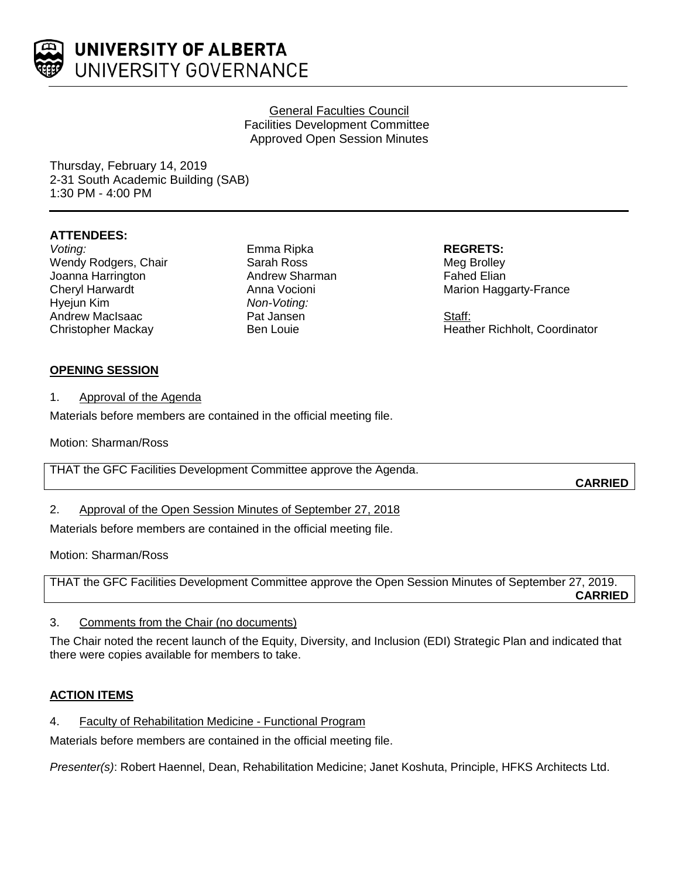

## General Faculties Council Facilities Development Committee Approved Open Session Minutes

Thursday, February 14, 2019 2-31 South Academic Building (SAB) 1:30 PM - 4:00 PM

## **ATTENDEES:**

*Voting:* Wendy Rodgers, Chair Joanna Harrington Cheryl Harwardt Hyejun Kim Andrew MacIsaac Christopher Mackay

Emma Ripka Sarah Ross Andrew Sharman Anna Vocioni *Non-Voting:* Pat Jansen Ben Louie

**REGRETS:** Meg Brolley Fahed Elian Marion Haggarty-France

Staff: Heather Richholt, Coordinator

# **OPENING SESSION**

1. Approval of the Agenda

Materials before members are contained in the official meeting file.

Motion: Sharman/Ross

THAT the GFC Facilities Development Committee approve the Agenda.

**CARRIED**

2. Approval of the Open Session Minutes of September 27, 2018

Materials before members are contained in the official meeting file.

Motion: Sharman/Ross

THAT the GFC Facilities Development Committee approve the Open Session Minutes of September 27, 2019. **CARRIED**

# 3. Comments from the Chair (no documents)

The Chair noted the recent launch of the Equity, Diversity, and Inclusion (EDI) Strategic Plan and indicated that there were copies available for members to take.

# **ACTION ITEMS**

4. Faculty of Rehabilitation Medicine - Functional Program

Materials before members are contained in the official meeting file.

*Presenter(s)*: Robert Haennel, Dean, Rehabilitation Medicine; Janet Koshuta, Principle, HFKS Architects Ltd.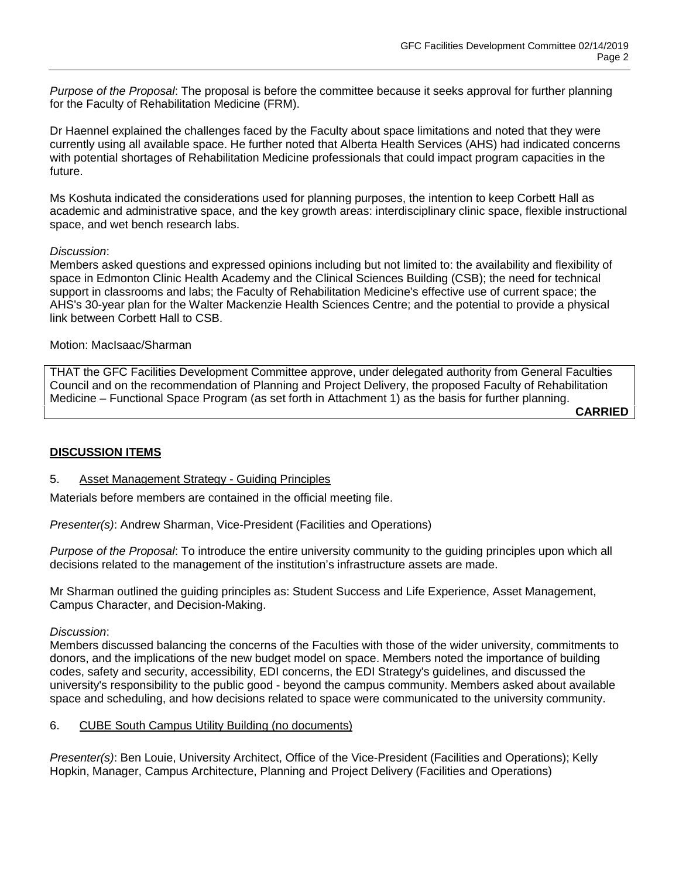*Purpose of the Proposal*: The proposal is before the committee because it seeks approval for further planning for the Faculty of Rehabilitation Medicine (FRM).

Dr Haennel explained the challenges faced by the Faculty about space limitations and noted that they were currently using all available space. He further noted that Alberta Health Services (AHS) had indicated concerns with potential shortages of Rehabilitation Medicine professionals that could impact program capacities in the future.

Ms Koshuta indicated the considerations used for planning purposes, the intention to keep Corbett Hall as academic and administrative space, and the key growth areas: interdisciplinary clinic space, flexible instructional space, and wet bench research labs.

### *Discussion*:

Members asked questions and expressed opinions including but not limited to: the availability and flexibility of space in Edmonton Clinic Health Academy and the Clinical Sciences Building (CSB); the need for technical support in classrooms and labs; the Faculty of Rehabilitation Medicine's effective use of current space; the AHS's 30-year plan for the Walter Mackenzie Health Sciences Centre; and the potential to provide a physical link between Corbett Hall to CSB.

### Motion: MacIsaac/Sharman

THAT the GFC Facilities Development Committee approve, under delegated authority from General Faculties Council and on the recommendation of Planning and Project Delivery, the proposed Faculty of Rehabilitation Medicine – Functional Space Program (as set forth in Attachment 1) as the basis for further planning.

**CARRIED**

#### **DISCUSSION ITEMS**

#### 5. Asset Management Strategy - Guiding Principles

Materials before members are contained in the official meeting file.

*Presenter(s)*: Andrew Sharman, Vice-President (Facilities and Operations)

*Purpose of the Proposal*: To introduce the entire university community to the guiding principles upon which all decisions related to the management of the institution's infrastructure assets are made.

Mr Sharman outlined the guiding principles as: Student Success and Life Experience, Asset Management, Campus Character, and Decision-Making.

#### *Discussion*:

Members discussed balancing the concerns of the Faculties with those of the wider university, commitments to donors, and the implications of the new budget model on space. Members noted the importance of building codes, safety and security, accessibility, EDI concerns, the EDI Strategy's guidelines, and discussed the university's responsibility to the public good - beyond the campus community. Members asked about available space and scheduling, and how decisions related to space were communicated to the university community.

#### 6. CUBE South Campus Utility Building (no documents)

*Presenter(s)*: Ben Louie, University Architect, Office of the Vice-President (Facilities and Operations); Kelly Hopkin, Manager, Campus Architecture, Planning and Project Delivery (Facilities and Operations)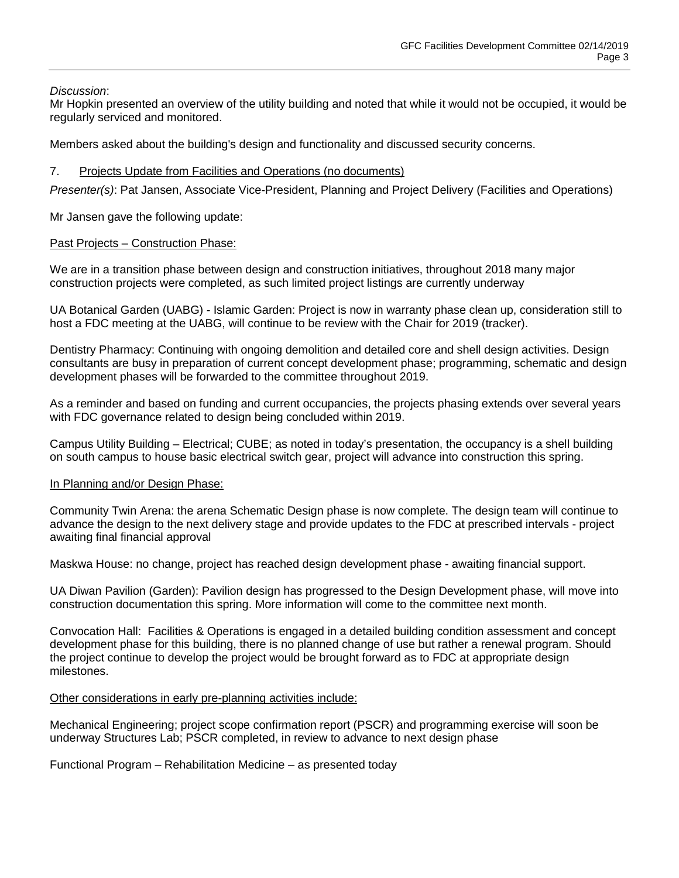*Discussion*:

Mr Hopkin presented an overview of the utility building and noted that while it would not be occupied, it would be regularly serviced and monitored.

Members asked about the building's design and functionality and discussed security concerns.

## 7. Projects Update from Facilities and Operations (no documents)

*Presenter(s)*: Pat Jansen, Associate Vice-President, Planning and Project Delivery (Facilities and Operations)

Mr Jansen gave the following update:

## Past Projects - Construction Phase:

We are in a transition phase between design and construction initiatives, throughout 2018 many major construction projects were completed, as such limited project listings are currently underway

UA Botanical Garden (UABG) - Islamic Garden: Project is now in warranty phase clean up, consideration still to host a FDC meeting at the UABG, will continue to be review with the Chair for 2019 (tracker).

Dentistry Pharmacy: Continuing with ongoing demolition and detailed core and shell design activities. Design consultants are busy in preparation of current concept development phase; programming, schematic and design development phases will be forwarded to the committee throughout 2019.

As a reminder and based on funding and current occupancies, the projects phasing extends over several years with FDC governance related to design being concluded within 2019.

Campus Utility Building – Electrical; CUBE; as noted in today's presentation, the occupancy is a shell building on south campus to house basic electrical switch gear, project will advance into construction this spring.

### In Planning and/or Design Phase:

Community Twin Arena: the arena Schematic Design phase is now complete. The design team will continue to advance the design to the next delivery stage and provide updates to the FDC at prescribed intervals - project awaiting final financial approval

Maskwa House: no change, project has reached design development phase - awaiting financial support.

UA Diwan Pavilion (Garden): Pavilion design has progressed to the Design Development phase, will move into construction documentation this spring. More information will come to the committee next month.

Convocation Hall: Facilities & Operations is engaged in a detailed building condition assessment and concept development phase for this building, there is no planned change of use but rather a renewal program. Should the project continue to develop the project would be brought forward as to FDC at appropriate design milestones.

### Other considerations in early pre-planning activities include:

Mechanical Engineering; project scope confirmation report (PSCR) and programming exercise will soon be underway Structures Lab; PSCR completed, in review to advance to next design phase

Functional Program – Rehabilitation Medicine – as presented today